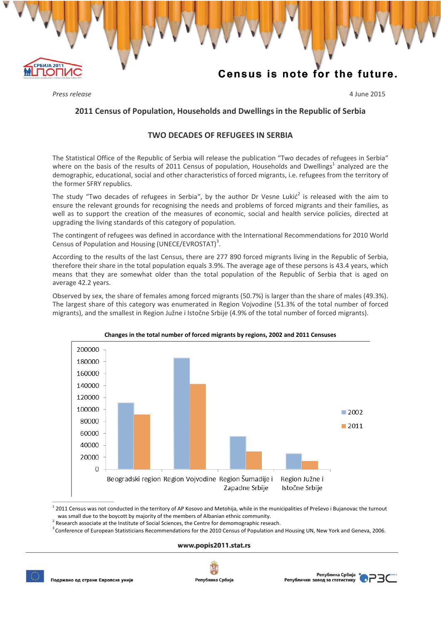# Census is note for the future.

*Press release* 4 June 2015

**РБИЈА 2011** 

10T

## **2011 Census of Population, Households and Dwellingsin the Republic of Serbia**

V V V V V V V V V V V V V V V V V V

### **TWO DECADES OF REFUGEES IN SERBIA**

The Statistical Office of the Republic of Serbia will release the publication "Two decades of refugees in Serbia" where on the basis of the results of 2011 Census of population, Households and Dwellings<sup>1</sup> analyzed are the demographic, educational, social and other characteristics of forced migrants, i.e. refugees from the territory of the former SFRY republics.

The study "Two decades of refugees in Serbia", by the author Dr Vesne Lukić<sup>2</sup> is released with the aim to ensure the relevant grounds for recognising the needs and problems of forced migrants and their families, as well as to support the creation of the measures of economic, social and health service policies, directed at upgrading the living standards of this category of population.

The contingent of refugees was defined in accordance with the International Recommendations for 2010 World Census of Population and Housing (UNECE/EVROSTAT)<sup>3</sup>.

According to the results of the last Census, there are 277 890 forced migrants living in the Republic of Serbia, therefore their share in the total population equals 3.9%. The average age of these persons is 43.4 years, which means that they are somewhat older than the total population of the Republic of Serbia that is aged on average 42.2 years.

Observed by sex, the share of females among forced migrants (50.7%) is larger than the share of males (49.3%). The largest share of this category was enumerated in Region Vojvodine (51.3% of the total number of forced migrants), and the smallest in Region Južne i Istočne Srbije (4.9% of the total number of forced migrants).



#### **Changes in the total number of forced migrants by regions, 2002 and 2011 Censuses**

 $12011$  Census was not conducted in the territory of AP Kosovo and Metohija, while in the municipalities of Preševo i Bujanovac the turnout was small due to the boycott by majority of the members of Albanian ethnic community.<br>
<sup>2</sup> Research associate at the Institute of Social Sciences, the Centre for demomographic reseach.

<sup>3</sup> Conference of European Statisticians Recommendations for the 2010 Census of Population and Housing UN, New York and Geneva, 2006.

### www.popis2011.stat.rs